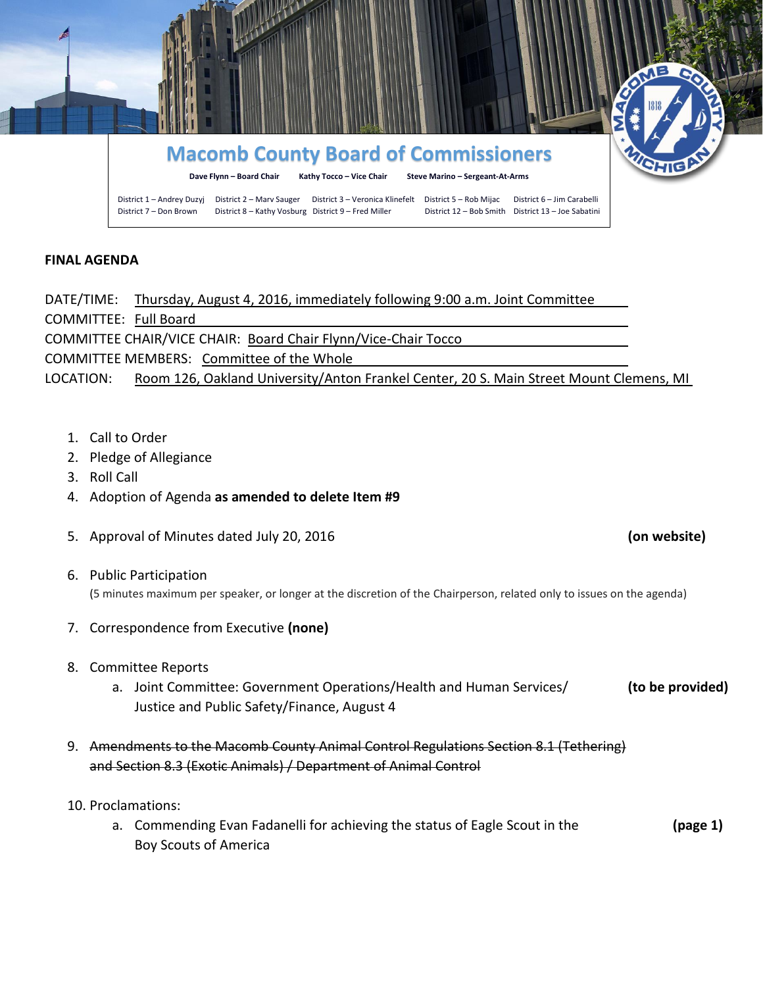

## **FINAL AGENDA**

DATE/TIME: Thursday, August 4, 2016, immediately following 9:00 a.m. Joint Committee COMMITTEE: Full Board COMMITTEE CHAIR/VICE CHAIR: Board Chair Flynn/Vice-Chair Tocco COMMITTEE MEMBERS: Committee of the Whole LOCATION: Room 126, Oakland University/Anton Frankel Center, 20 S. Main Street Mount Clemens, MI

- 1. Call to Order
- 2. Pledge of Allegiance
- 3. Roll Call
- 4. Adoption of Agenda **as amended to delete Item #9**
- 5. Approval of Minutes dated July 20, 2016 **(on website)**
- 6. Public Participation (5 minutes maximum per speaker, or longer at the discretion of the Chairperson, related only to issues on the agenda)
- 7. Correspondence from Executive **(none)**
- 8. Committee Reports
	- a. Joint Committee: Government Operations/Health and Human Services/ **(to be provided)** Justice and Public Safety/Finance, August 4
- 9. Amendments to the Macomb County Animal Control Regulations Section 8.1 (Tethering) and Section 8.3 (Exotic Animals) / Department of Animal Control
- 10. Proclamations:
	- a. Commending Evan Fadanelli for achieving the status of Eagle Scout in the **(page 1)** Boy Scouts of America